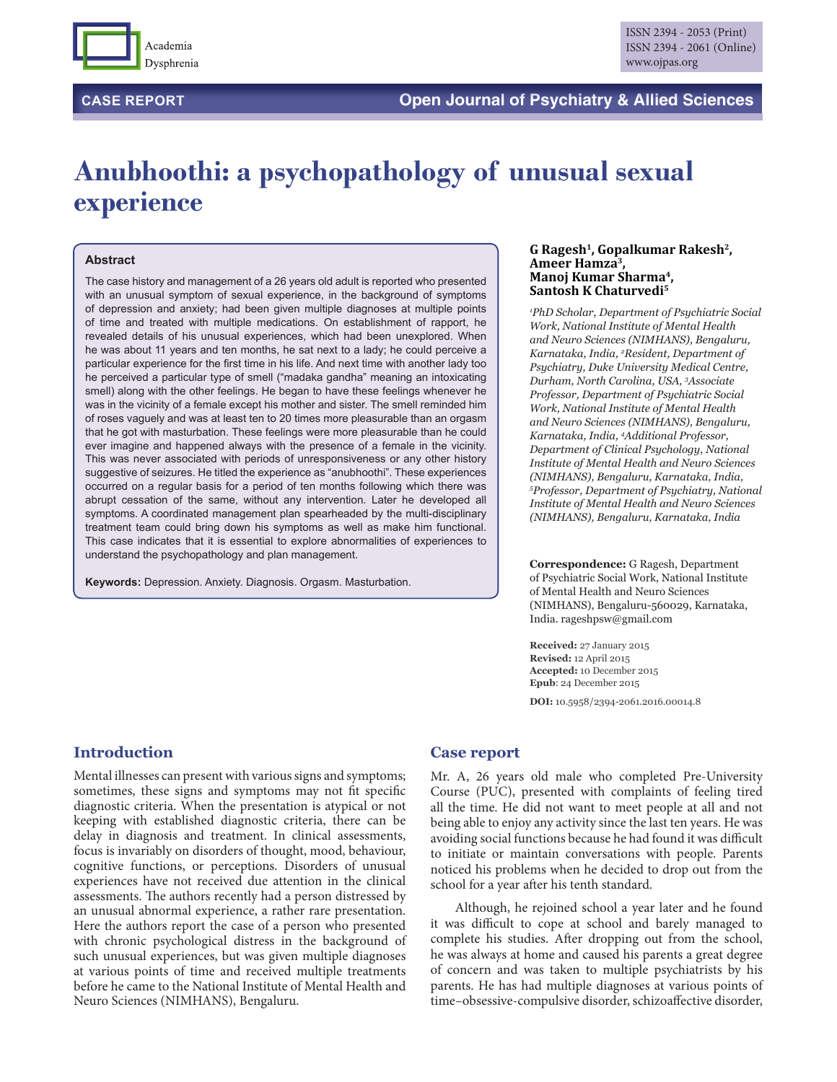

# **Anubhoothi: a psychopathology of unusual sexual experience**

### **Abstract**

The case history and management of a 26 years old adult is reported who presented with an unusual symptom of sexual experience, in the background of symptoms of depression and anxiety; had been given multiple diagnoses at multiple points of time and treated with multiple medications. On establishment of rapport, he revealed details of his unusual experiences, which had been unexplored. When he was about 11 years and ten months, he sat next to a lady; he could perceive a particular experience for the first time in his life. And next time with another lady too he perceived a particular type of smell ("madaka gandha" meaning an intoxicating smell) along with the other feelings. He began to have these feelings whenever he was in the vicinity of a female except his mother and sister. The smell reminded him of roses vaguely and was at least ten to 20 times more pleasurable than an orgasm that he got with masturbation. These feelings were more pleasurable than he could ever imagine and happened always with the presence of a female in the vicinity. This was never associated with periods of unresponsiveness or any other history suggestive of seizures. He titled the experience as "anubhoothi". These experiences occurred on a regular basis for a period of ten months following which there was abrupt cessation of the same, without any intervention. Later he developed all symptoms. A coordinated management plan spearheaded by the multi-disciplinary treatment team could bring down his symptoms as well as make him functional. This case indicates that it is essential to explore abnormalities of experiences to understand the psychopathology and plan management.

**Keywords:** Depression. Anxiety. Diagnosis. Orgasm. Masturbation.

#### **G Ragesh1, Gopalkumar Rakesh2, Ameer Hamza3, Manoj Kumar Sharma4, Santosh K Chaturvedi5**

*1 PhD Scholar, Department of Psychiatric Social Work, National Institute of Mental Health and Neuro Sciences (NIMHANS), Bengaluru, Karnataka, India, 2 Resident, Department of Psychiatry, Duke University Medical Centre, Durham, North Carolina, USA, 3 Associate Professor, Department of Psychiatric Social Work, National Institute of Mental Health and Neuro Sciences (NIMHANS), Bengaluru, Karnataka, India, 4 Additional Professor, Department of Clinical Psychology, National Institute of Mental Health and Neuro Sciences (NIMHANS), Bengaluru, Karnataka, India, 5 Professor, Department of Psychiatry, National Institute of Mental Health and Neuro Sciences (NIMHANS), Bengaluru, Karnataka, India*

**Correspondence:** G Ragesh, Department of Psychiatric Social Work, National Institute of Mental Health and Neuro Sciences (NIMHANS), Bengaluru-560029, Karnataka, India. rageshpsw@gmail.com

**Received:** 27 January 2015 **Revised:** 12 April 2015 **Accepted:** 10 December 2015 **Epub**: 24 December 2015

**DOI:** 10.5958/2394-2061.2016.00014.8

## **Introduction**

Mental illnesses can present with various signs and symptoms; sometimes, these signs and symptoms may not fit specific diagnostic criteria. When the presentation is atypical or not keeping with established diagnostic criteria, there can be delay in diagnosis and treatment. In clinical assessments, focus is invariably on disorders of thought, mood, behaviour, cognitive functions, or perceptions. Disorders of unusual experiences have not received due attention in the clinical assessments. The authors recently had a person distressed by an unusual abnormal experience, a rather rare presentation. Here the authors report the case of a person who presented with chronic psychological distress in the background of such unusual experiences, but was given multiple diagnoses at various points of time and received multiple treatments before he came to the National Institute of Mental Health and Neuro Sciences (NIMHANS), Bengaluru.

## **Case report**

Mr. A, 26 years old male who completed Pre-University Course (PUC), presented with complaints of feeling tired all the time. He did not want to meet people at all and not being able to enjoy any activity since the last ten years. He was avoiding social functions because he had found it was difficult to initiate or maintain conversations with people. Parents noticed his problems when he decided to drop out from the school for a year after his tenth standard.

Although, he rejoined school a year later and he found it was difficult to cope at school and barely managed to complete his studies. After dropping out from the school, he was always at home and caused his parents a great degree of concern and was taken to multiple psychiatrists by his parents. He has had multiple diagnoses at various points of time–obsessive-compulsive disorder, schizoaffective disorder,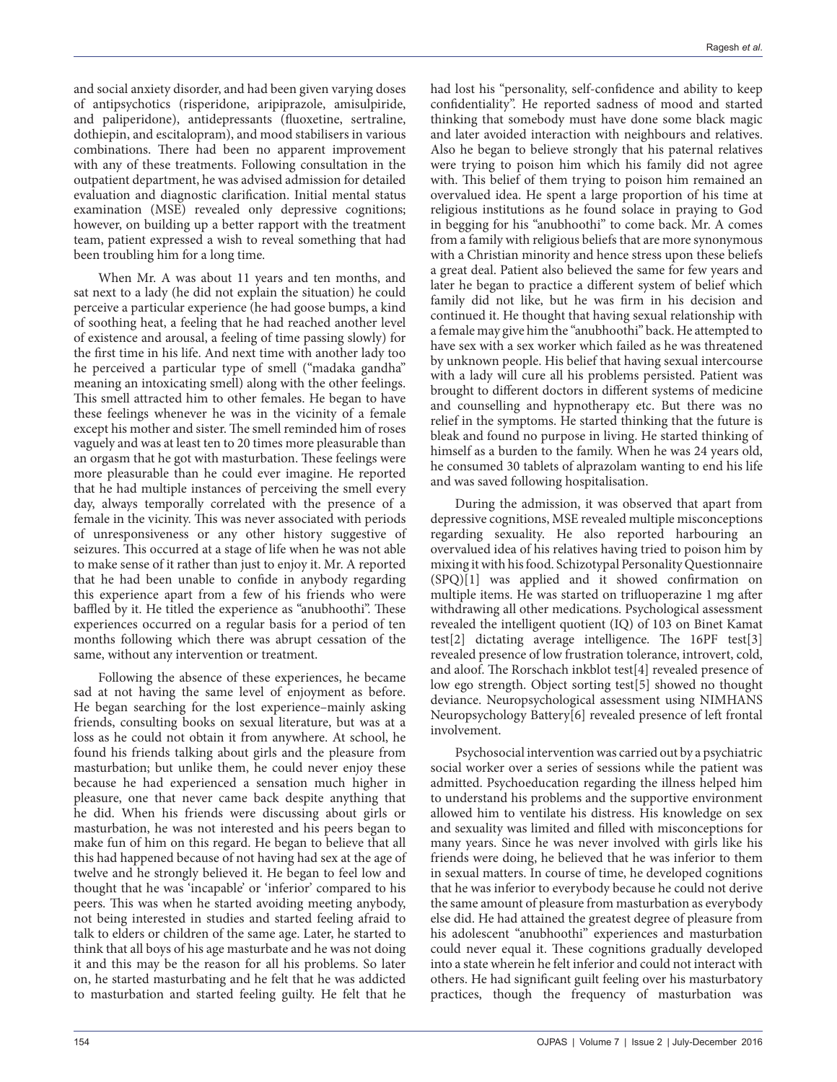and social anxiety disorder, and had been given varying doses of antipsychotics (risperidone, aripiprazole, amisulpiride, and paliperidone), antidepressants (fluoxetine, sertraline, dothiepin, and escitalopram), and mood stabilisers in various combinations. There had been no apparent improvement with any of these treatments. Following consultation in the outpatient department, he was advised admission for detailed evaluation and diagnostic clarification. Initial mental status examination (MSE) revealed only depressive cognitions; however, on building up a better rapport with the treatment team, patient expressed a wish to reveal something that had been troubling him for a long time.

When Mr. A was about 11 years and ten months, and sat next to a lady (he did not explain the situation) he could perceive a particular experience (he had goose bumps, a kind of soothing heat, a feeling that he had reached another level of existence and arousal, a feeling of time passing slowly) for the first time in his life. And next time with another lady too he perceived a particular type of smell ("madaka gandha" meaning an intoxicating smell) along with the other feelings. This smell attracted him to other females. He began to have these feelings whenever he was in the vicinity of a female except his mother and sister. The smell reminded him of roses vaguely and was at least ten to 20 times more pleasurable than an orgasm that he got with masturbation. These feelings were more pleasurable than he could ever imagine. He reported that he had multiple instances of perceiving the smell every day, always temporally correlated with the presence of a female in the vicinity. This was never associated with periods of unresponsiveness or any other history suggestive of seizures. This occurred at a stage of life when he was not able to make sense of it rather than just to enjoy it. Mr. A reported that he had been unable to confide in anybody regarding this experience apart from a few of his friends who were baffled by it. He titled the experience as "anubhoothi". These experiences occurred on a regular basis for a period of ten months following which there was abrupt cessation of the same, without any intervention or treatment.

Following the absence of these experiences, he became sad at not having the same level of enjoyment as before. He began searching for the lost experience–mainly asking friends, consulting books on sexual literature, but was at a loss as he could not obtain it from anywhere. At school, he found his friends talking about girls and the pleasure from masturbation; but unlike them, he could never enjoy these because he had experienced a sensation much higher in pleasure, one that never came back despite anything that he did. When his friends were discussing about girls or masturbation, he was not interested and his peers began to make fun of him on this regard. He began to believe that all this had happened because of not having had sex at the age of twelve and he strongly believed it. He began to feel low and thought that he was 'incapable' or 'inferior' compared to his peers. This was when he started avoiding meeting anybody, not being interested in studies and started feeling afraid to talk to elders or children of the same age. Later, he started to think that all boys of his age masturbate and he was not doing it and this may be the reason for all his problems. So later on, he started masturbating and he felt that he was addicted to masturbation and started feeling guilty. He felt that he

had lost his "personality, self-confidence and ability to keep confidentiality". He reported sadness of mood and started thinking that somebody must have done some black magic and later avoided interaction with neighbours and relatives. Also he began to believe strongly that his paternal relatives were trying to poison him which his family did not agree with. This belief of them trying to poison him remained an overvalued idea. He spent a large proportion of his time at religious institutions as he found solace in praying to God in begging for his "anubhoothi" to come back. Mr. A comes from a family with religious beliefs that are more synonymous with a Christian minority and hence stress upon these beliefs a great deal. Patient also believed the same for few years and later he began to practice a different system of belief which family did not like, but he was firm in his decision and continued it. He thought that having sexual relationship with a female may give him the "anubhoothi" back. He attempted to have sex with a sex worker which failed as he was threatened by unknown people. His belief that having sexual intercourse with a lady will cure all his problems persisted. Patient was brought to different doctors in different systems of medicine and counselling and hypnotherapy etc. But there was no relief in the symptoms. He started thinking that the future is bleak and found no purpose in living. He started thinking of himself as a burden to the family. When he was 24 years old, he consumed 30 tablets of alprazolam wanting to end his life and was saved following hospitalisation.

During the admission, it was observed that apart from depressive cognitions, MSE revealed multiple misconceptions regarding sexuality. He also reported harbouring an overvalued idea of his relatives having tried to poison him by mixing it with his food. Schizotypal Personality Questionnaire (SPQ)[1] was applied and it showed confirmation on multiple items. He was started on trifluoperazine 1 mg after withdrawing all other medications. Psychological assessment revealed the intelligent quotient (IQ) of 103 on Binet Kamat test[2] dictating average intelligence. The 16PF test[3] revealed presence of low frustration tolerance, introvert, cold, and aloof. The Rorschach inkblot test[4] revealed presence of low ego strength. Object sorting test[5] showed no thought deviance. Neuropsychological assessment using NIMHANS Neuropsychology Battery[6] revealed presence of left frontal involvement.

Psychosocial intervention was carried out by a psychiatric social worker over a series of sessions while the patient was admitted. Psychoeducation regarding the illness helped him to understand his problems and the supportive environment allowed him to ventilate his distress. His knowledge on sex and sexuality was limited and filled with misconceptions for many years. Since he was never involved with girls like his friends were doing, he believed that he was inferior to them in sexual matters. In course of time, he developed cognitions that he was inferior to everybody because he could not derive the same amount of pleasure from masturbation as everybody else did. He had attained the greatest degree of pleasure from his adolescent "anubhoothi" experiences and masturbation could never equal it. These cognitions gradually developed into a state wherein he felt inferior and could not interact with others. He had significant guilt feeling over his masturbatory practices, though the frequency of masturbation was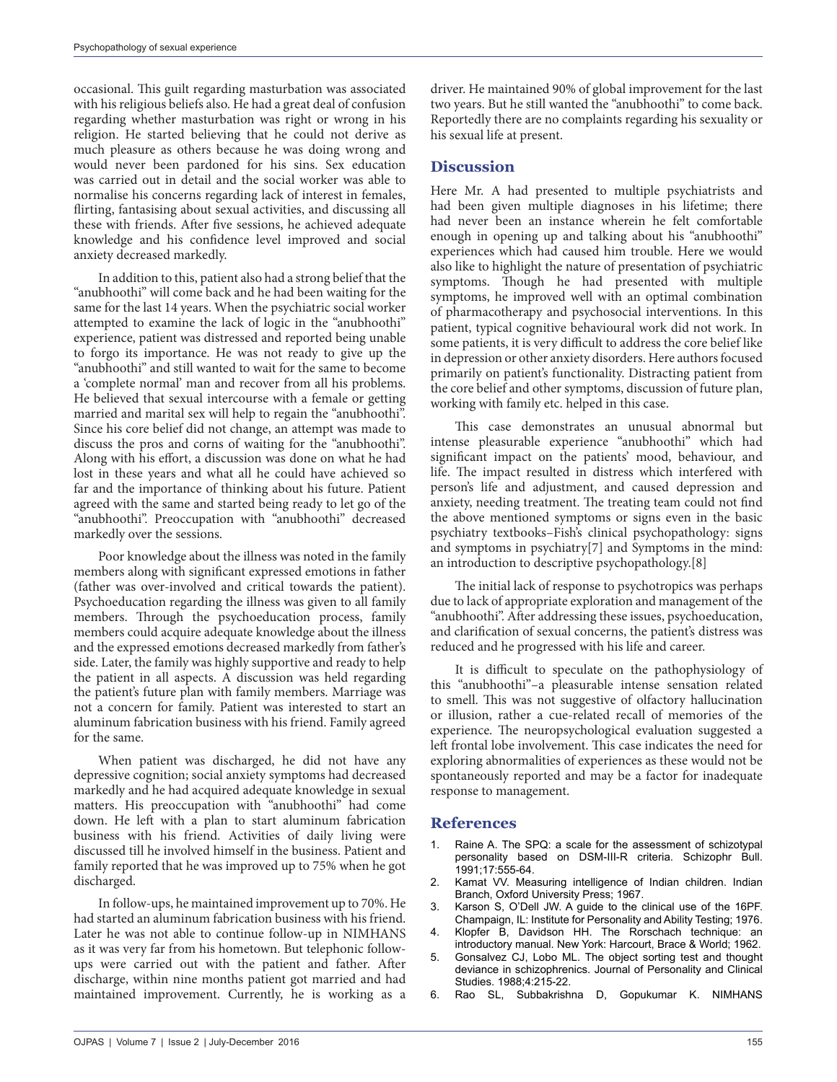occasional. This guilt regarding masturbation was associated with his religious beliefs also. He had a great deal of confusion regarding whether masturbation was right or wrong in his religion. He started believing that he could not derive as much pleasure as others because he was doing wrong and would never been pardoned for his sins. Sex education was carried out in detail and the social worker was able to normalise his concerns regarding lack of interest in females, flirting, fantasising about sexual activities, and discussing all these with friends. After five sessions, he achieved adequate knowledge and his confidence level improved and social anxiety decreased markedly.

In addition to this, patient also had a strong belief that the "anubhoothi" will come back and he had been waiting for the same for the last 14 years. When the psychiatric social worker attempted to examine the lack of logic in the "anubhoothi" experience, patient was distressed and reported being unable to forgo its importance. He was not ready to give up the "anubhoothi" and still wanted to wait for the same to become a 'complete normal' man and recover from all his problems. He believed that sexual intercourse with a female or getting married and marital sex will help to regain the "anubhoothi". Since his core belief did not change, an attempt was made to discuss the pros and corns of waiting for the "anubhoothi". Along with his effort, a discussion was done on what he had lost in these years and what all he could have achieved so far and the importance of thinking about his future. Patient agreed with the same and started being ready to let go of the "anubhoothi". Preoccupation with "anubhoothi" decreased markedly over the sessions.

Poor knowledge about the illness was noted in the family members along with significant expressed emotions in father (father was over-involved and critical towards the patient). Psychoeducation regarding the illness was given to all family members. Through the psychoeducation process, family members could acquire adequate knowledge about the illness and the expressed emotions decreased markedly from father's side. Later, the family was highly supportive and ready to help the patient in all aspects. A discussion was held regarding the patient's future plan with family members. Marriage was not a concern for family. Patient was interested to start an aluminum fabrication business with his friend. Family agreed for the same.

When patient was discharged, he did not have any depressive cognition; social anxiety symptoms had decreased markedly and he had acquired adequate knowledge in sexual matters. His preoccupation with "anubhoothi" had come down. He left with a plan to start aluminum fabrication business with his friend. Activities of daily living were discussed till he involved himself in the business. Patient and family reported that he was improved up to 75% when he got discharged.

In follow-ups, he maintained improvement up to 70%. He had started an aluminum fabrication business with his friend. Later he was not able to continue follow-up in NIMHANS as it was very far from his hometown. But telephonic followups were carried out with the patient and father. After discharge, within nine months patient got married and had maintained improvement. Currently, he is working as a

driver. He maintained 90% of global improvement for the last two years. But he still wanted the "anubhoothi" to come back. Reportedly there are no complaints regarding his sexuality or his sexual life at present.

## **Discussion**

Here Mr. A had presented to multiple psychiatrists and had been given multiple diagnoses in his lifetime; there had never been an instance wherein he felt comfortable enough in opening up and talking about his "anubhoothi" experiences which had caused him trouble. Here we would also like to highlight the nature of presentation of psychiatric symptoms. Though he had presented with multiple symptoms, he improved well with an optimal combination of pharmacotherapy and psychosocial interventions. In this patient, typical cognitive behavioural work did not work. In some patients, it is very difficult to address the core belief like in depression or other anxiety disorders. Here authors focused primarily on patient's functionality. Distracting patient from the core belief and other symptoms, discussion of future plan, working with family etc. helped in this case.

This case demonstrates an unusual abnormal but intense pleasurable experience "anubhoothi" which had significant impact on the patients' mood, behaviour, and life. The impact resulted in distress which interfered with person's life and adjustment, and caused depression and anxiety, needing treatment. The treating team could not find the above mentioned symptoms or signs even in the basic psychiatry textbooks–Fish's clinical psychopathology: signs and symptoms in psychiatry[7] and Symptoms in the mind: an introduction to descriptive psychopathology.[8]

The initial lack of response to psychotropics was perhaps due to lack of appropriate exploration and management of the "anubhoothi". After addressing these issues, psychoeducation, and clarification of sexual concerns, the patient's distress was reduced and he progressed with his life and career.

It is difficult to speculate on the pathophysiology of this "anubhoothi"–a pleasurable intense sensation related to smell. This was not suggestive of olfactory hallucination or illusion, rather a cue-related recall of memories of the experience. The neuropsychological evaluation suggested a left frontal lobe involvement. This case indicates the need for exploring abnormalities of experiences as these would not be spontaneously reported and may be a factor for inadequate response to management.

# **References**

- 1. Raine A. The SPQ: a scale for the assessment of schizotypal personality based on DSM-III-R criteria. Schizophr Bull. 1991;17:555-64.
- 2. Kamat VV. Measuring intelligence of Indian children. Indian Branch, Oxford University Press; 1967.
- 3. Karson S, O'Dell JW. A guide to the clinical use of the 16PF. Champaign, IL: Institute for Personality and Ability Testing; 1976.
- 4. Klopfer B, Davidson HH. The Rorschach technique: an introductory manual. New York: Harcourt, Brace & World; 1962.
- 5. Gonsalvez CJ, Lobo ML. The object sorting test and thought deviance in schizophrenics. Journal of Personality and Clinical Studies. 1988;4:215-22.
- 6. Rao SL, Subbakrishna D, Gopukumar K. NIMHANS